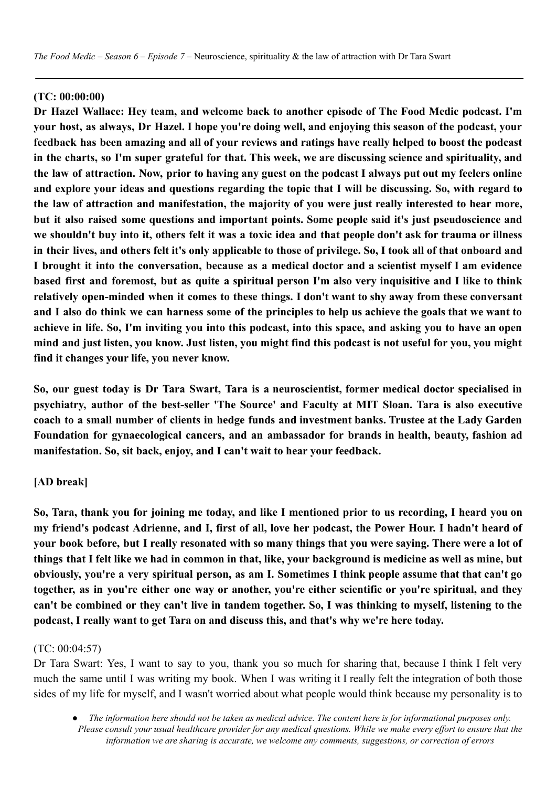## **(TC: 00:00:00)**

**Dr Hazel Wallace: Hey team, and welcome back to another episode of The Food Medic podcast. I'm** your host, as always, Dr Hazel. I hope you're doing well, and enjoying this season of the podcast, your feedback has been amazing and all of your reviews and ratings have really helped to boost the podcast in the charts, so I'm super grateful for that. This week, we are discussing science and spirituality, and the law of attraction. Now, prior to having any guest on the podcast I always put out my feelers online and explore your ideas and questions regarding the topic that I will be discussing. So, with regard to **the law of attraction and manifestation, the majority of you were just really interested to hear more, but it also raised some questions and important points. Some people said it's just pseudoscience and** we shouldn't buy into it, others felt it was a toxic idea and that people don't ask for trauma or illness in their lives, and others felt it's only applicable to those of privilege. So, I took all of that onboard and I brought it into the conversation, because as a medical doctor and a scientist myself I am evidence based first and foremost, but as quite a spiritual person I'm also very inquisitive and I like to think **relatively open-minded when it comes to these things. I don't want to shy away from these conversant** and I also do think we can harness some of the principles to help us achieve the goals that we want to achieve in life. So, I'm inviting you into this podcast, into this space, and asking you to have an open mind and just listen, you know. Just listen, you might find this podcast is not useful for you, you might **find it changes your life, you never know.**

**So, our guest today is Dr Tara Swart, Tara is a neuroscientist, former medical doctor specialised in psychiatry, author of the best-seller 'The Source' and Faculty at MIT Sloan. Tara is also executive coach to a small number of clients in hedge funds and investment banks. Trustee at the Lady Garden Foundation for gynaecological cancers, and an ambassador for brands in health, beauty, fashion ad manifestation. So, sit back, enjoy, and I can't wait to hear your feedback.**

#### **[AD break]**

So, Tara, thank you for joining me today, and like I mentioned prior to us recording, I heard you on my friend's podcast Adrienne, and I, first of all, love her podcast, the Power Hour. I hadn't heard of your book before, but I really resonated with so many things that you were saying. There were a lot of things that I felt like we had in common in that, like, your background is medicine as well as mine, but obviously, you're a very spiritual person, as am I. Sometimes I think people assume that that can't go **together, as in you're either one way or another, you're either scientific or you're spiritual, and they** can't be combined or they can't live in tandem together. So, I was thinking to myself, listening to the **podcast, I really want to get Tara on and discuss this, and that's why we're here today.**

#### (TC: 00:04:57)

Dr Tara Swart: Yes, I want to say to you, thank you so much for sharing that, because I think I felt very much the same until I was writing my book. When I was writing it I really felt the integration of both those sides of my life for myself, and I wasn't worried about what people would think because my personality is to

The information here should not be taken as medical advice. The content here is for informational purposes only. Please consult your usual healthcare provider for any medical questions. While we make every effort to ensure that the *information we are sharing is accurate, we welcome any comments, suggestions, or correction of errors*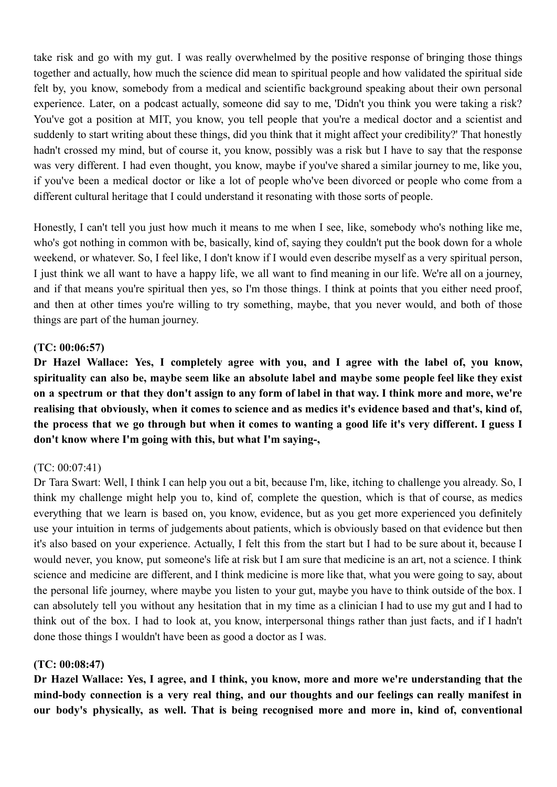take risk and go with my gut. I was really overwhelmed by the positive response of bringing those things together and actually, how much the science did mean to spiritual people and how validated the spiritual side felt by, you know, somebody from a medical and scientific background speaking about their own personal experience. Later, on a podcast actually, someone did say to me, 'Didn't you think you were taking a risk? You've got a position at MIT, you know, you tell people that you're a medical doctor and a scientist and suddenly to start writing about these things, did you think that it might affect your credibility?' That honestly hadn't crossed my mind, but of course it, you know, possibly was a risk but I have to say that the response was very different. I had even thought, you know, maybe if you've shared a similar journey to me, like you, if you've been a medical doctor or like a lot of people who've been divorced or people who come from a different cultural heritage that I could understand it resonating with those sorts of people.

Honestly, I can't tell you just how much it means to me when I see, like, somebody who's nothing like me, who's got nothing in common with be, basically, kind of, saying they couldn't put the book down for a whole weekend, or whatever. So, I feel like, I don't know if I would even describe myself as a very spiritual person, I just think we all want to have a happy life, we all want to find meaning in our life. We're all on a journey, and if that means you're spiritual then yes, so I'm those things. I think at points that you either need proof, and then at other times you're willing to try something, maybe, that you never would, and both of those things are part of the human journey.

## **(TC: 00:06:57)**

**Dr Hazel Wallace: Yes, I completely agree with you, and I agree with the label of, you know,** spirituality can also be, maybe seem like an absolute label and maybe some people feel like they exist on a spectrum or that they don't assign to any form of label in that way. I think more and more, we're realising that obviously, when it comes to science and as medics it's evidence based and that's, kind of, the process that we go through but when it comes to wanting a good life it's very different. I guess I **don't know where I'm going with this, but what I'm saying-,**

# (TC: 00:07:41)

Dr Tara Swart: Well, I think I can help you out a bit, because I'm, like, itching to challenge you already. So, I think my challenge might help you to, kind of, complete the question, which is that of course, as medics everything that we learn is based on, you know, evidence, but as you get more experienced you definitely use your intuition in terms of judgements about patients, which is obviously based on that evidence but then it's also based on your experience. Actually, I felt this from the start but I had to be sure about it, because I would never, you know, put someone's life at risk but I am sure that medicine is an art, not a science. I think science and medicine are different, and I think medicine is more like that, what you were going to say, about the personal life journey, where maybe you listen to your gut, maybe you have to think outside of the box. I can absolutely tell you without any hesitation that in my time as a clinician I had to use my gut and I had to think out of the box. I had to look at, you know, interpersonal things rather than just facts, and if I hadn't done those things I wouldn't have been as good a doctor as I was.

#### **(TC: 00:08:47)**

**Dr Hazel Wallace: Yes, I agree, and I think, you know, more and more we're understanding that the mind-body connection is a very real thing, and our thoughts and our feelings can really manifest in our body's physically, as well. That is being recognised more and more in, kind of, conventional**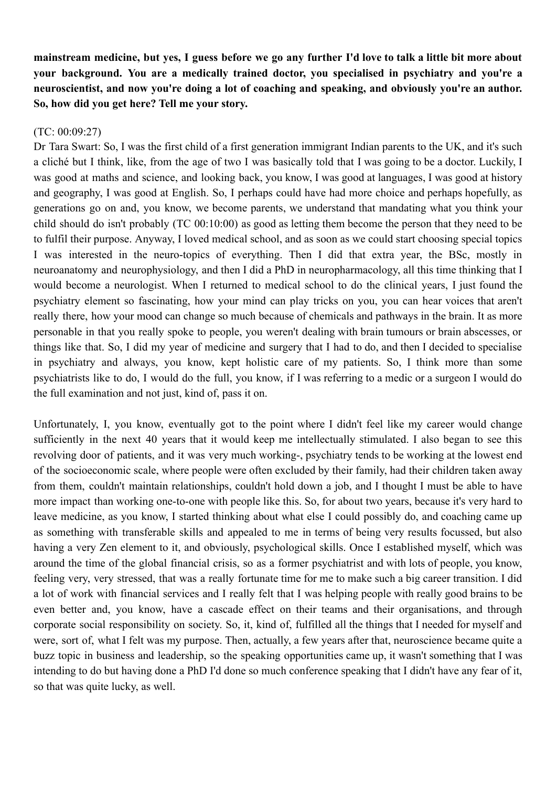mainstream medicine, but ves. I guess before we go any further I'd love to talk a little bit more about **your background. You are a medically trained doctor, you specialised in psychiatry and you're a neuroscientist, and now you're doing a lot of coaching and speaking, and obviously you're an author. So, how did you get here? Tell me your story.**

## (TC: 00:09:27)

Dr Tara Swart: So, I was the first child of a first generation immigrant Indian parents to the UK, and it's such a cliché but I think, like, from the age of two I was basically told that I was going to be a doctor. Luckily, I was good at maths and science, and looking back, you know, I was good at languages, I was good at history and geography, I was good at English. So, I perhaps could have had more choice and perhaps hopefully, as generations go on and, you know, we become parents, we understand that mandating what you think your child should do isn't probably (TC 00:10:00) as good as letting them become the person that they need to be to fulfil their purpose. Anyway, I loved medical school, and as soon as we could start choosing special topics I was interested in the neuro-topics of everything. Then I did that extra year, the BSc, mostly in neuroanatomy and neurophysiology, and then I did a PhD in neuropharmacology, all this time thinking that I would become a neurologist. When I returned to medical school to do the clinical years, I just found the psychiatry element so fascinating, how your mind can play tricks on you, you can hear voices that aren't really there, how your mood can change so much because of chemicals and pathways in the brain. It as more personable in that you really spoke to people, you weren't dealing with brain tumours or brain abscesses, or things like that. So, I did my year of medicine and surgery that I had to do, and then I decided to specialise in psychiatry and always, you know, kept holistic care of my patients. So, I think more than some psychiatrists like to do, I would do the full, you know, if I was referring to a medic or a surgeon I would do the full examination and not just, kind of, pass it on.

Unfortunately, I, you know, eventually got to the point where I didn't feel like my career would change sufficiently in the next 40 years that it would keep me intellectually stimulated. I also began to see this revolving door of patients, and it was very much working-, psychiatry tends to be working at the lowest end of the socioeconomic scale, where people were often excluded by their family, had their children taken away from them, couldn't maintain relationships, couldn't hold down a job, and I thought I must be able to have more impact than working one-to-one with people like this. So, for about two years, because it's very hard to leave medicine, as you know, I started thinking about what else I could possibly do, and coaching came up as something with transferable skills and appealed to me in terms of being very results focussed, but also having a very Zen element to it, and obviously, psychological skills. Once I established myself, which was around the time of the global financial crisis, so as a former psychiatrist and with lots of people, you know, feeling very, very stressed, that was a really fortunate time for me to make such a big career transition. I did a lot of work with financial services and I really felt that I was helping people with really good brains to be even better and, you know, have a cascade effect on their teams and their organisations, and through corporate social responsibility on society. So, it, kind of, fulfilled all the things that I needed for myself and were, sort of, what I felt was my purpose. Then, actually, a few years after that, neuroscience became quite a buzz topic in business and leadership, so the speaking opportunities came up, it wasn't something that I was intending to do but having done a PhD I'd done so much conference speaking that I didn't have any fear of it, so that was quite lucky, as well.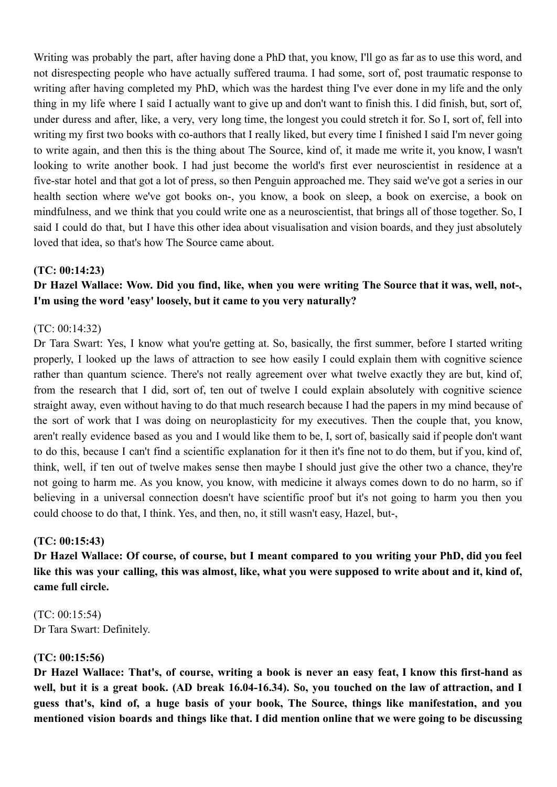Writing was probably the part, after having done a PhD that, you know, I'll go as far as to use this word, and not disrespecting people who have actually suffered trauma. I had some, sort of, post traumatic response to writing after having completed my PhD, which was the hardest thing I've ever done in my life and the only thing in my life where I said I actually want to give up and don't want to finish this. I did finish, but, sort of, under duress and after, like, a very, very long time, the longest you could stretch it for. So I, sort of, fell into writing my first two books with co-authors that I really liked, but every time I finished I said I'm never going to write again, and then this is the thing about The Source, kind of, it made me write it, you know, I wasn't looking to write another book. I had just become the world's first ever neuroscientist in residence at a five-star hotel and that got a lot of press, so then Penguin approached me. They said we've got a series in our health section where we've got books on-, you know, a book on sleep, a book on exercise, a book on mindfulness, and we think that you could write one as a neuroscientist, that brings all of those together. So, I said I could do that, but I have this other idea about visualisation and vision boards, and they just absolutely loved that idea, so that's how The Source came about.

#### **(TC: 00:14:23)**

# Dr Hazel Wallace: Wow. Did you find, like, when you were writing The Source that it was, well, not-, **I'm using the word 'easy' loosely, but it came to you very naturally?**

#### (TC: 00:14:32)

Dr Tara Swart: Yes, I know what you're getting at. So, basically, the first summer, before I started writing properly, I looked up the laws of attraction to see how easily I could explain them with cognitive science rather than quantum science. There's not really agreement over what twelve exactly they are but, kind of, from the research that I did, sort of, ten out of twelve I could explain absolutely with cognitive science straight away, even without having to do that much research because I had the papers in my mind because of the sort of work that I was doing on neuroplasticity for my executives. Then the couple that, you know, aren't really evidence based as you and I would like them to be, I, sort of, basically said if people don't want to do this, because I can't find a scientific explanation for it then it's fine not to do them, but if you, kind of, think, well, if ten out of twelve makes sense then maybe I should just give the other two a chance, they're not going to harm me. As you know, you know, with medicine it always comes down to do no harm, so if believing in a universal connection doesn't have scientific proof but it's not going to harm you then you could choose to do that, I think. Yes, and then, no, it still wasn't easy, Hazel, but-,

#### **(TC: 00:15:43)**

Dr Hazel Wallace: Of course, of course, but I meant compared to you writing your PhD, did you feel like this was your calling, this was almost, like, what you were supposed to write about and it, kind of, **came full circle.**

(TC: 00:15:54) Dr Tara Swart: Definitely.

#### **(TC: 00:15:56)**

Dr Hazel Wallace: That's, of course, writing a book is never an easy feat, I know this first-hand as well, but it is a great book. (AD break 16.04-16.34). So, you touched on the law of attraction, and I **guess that's, kind of, a huge basis of your book, The Source, things like manifestation, and you** mentioned vision boards and things like that. I did mention online that we were going to be discussing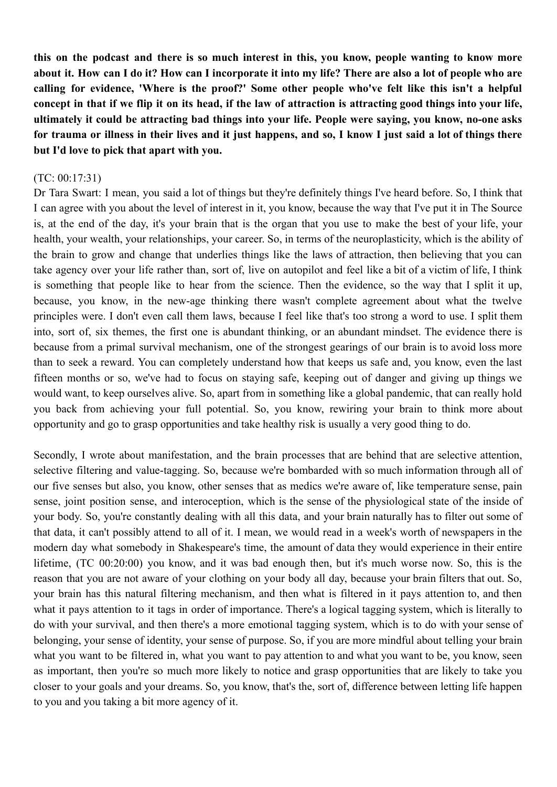this on the podcast and there is so much interest in this, you know, people wanting to know more about it. How can I do it? How can I incorporate it into my life? There are also a lot of people who are **calling for evidence, 'Where is the proof?' Some other people who've felt like this isn't a helpful** concept in that if we flip it on its head, if the law of attraction is attracting good things into your life, **ultimately it could be attracting bad things into your life. People were saying, you know, no-one asks** for trauma or illness in their lives and it just happens, and so, I know I just said a lot of things there **but I'd love to pick that apart with you.**

#### (TC: 00:17:31)

Dr Tara Swart: I mean, you said a lot of things but they're definitely things I've heard before. So, I think that I can agree with you about the level of interest in it, you know, because the way that I've put it in The Source is, at the end of the day, it's your brain that is the organ that you use to make the best of your life, your health, your wealth, your relationships, your career. So, in terms of the neuroplasticity, which is the ability of the brain to grow and change that underlies things like the laws of attraction, then believing that you can take agency over your life rather than, sort of, live on autopilot and feel like a bit of a victim of life, I think is something that people like to hear from the science. Then the evidence, so the way that I split it up, because, you know, in the new-age thinking there wasn't complete agreement about what the twelve principles were. I don't even call them laws, because I feel like that's too strong a word to use. I split them into, sort of, six themes, the first one is abundant thinking, or an abundant mindset. The evidence there is because from a primal survival mechanism, one of the strongest gearings of our brain is to avoid loss more than to seek a reward. You can completely understand how that keeps us safe and, you know, even the last fifteen months or so, we've had to focus on staying safe, keeping out of danger and giving up things we would want, to keep ourselves alive. So, apart from in something like a global pandemic, that can really hold you back from achieving your full potential. So, you know, rewiring your brain to think more about opportunity and go to grasp opportunities and take healthy risk is usually a very good thing to do.

Secondly, I wrote about manifestation, and the brain processes that are behind that are selective attention, selective filtering and value-tagging. So, because we're bombarded with so much information through all of our five senses but also, you know, other senses that as medics we're aware of, like temperature sense, pain sense, joint position sense, and interoception, which is the sense of the physiological state of the inside of your body. So, you're constantly dealing with all this data, and your brain naturally has to filter out some of that data, it can't possibly attend to all of it. I mean, we would read in a week's worth of newspapers in the modern day what somebody in Shakespeare's time, the amount of data they would experience in their entire lifetime, (TC 00:20:00) you know, and it was bad enough then, but it's much worse now. So, this is the reason that you are not aware of your clothing on your body all day, because your brain filters that out. So, your brain has this natural filtering mechanism, and then what is filtered in it pays attention to, and then what it pays attention to it tags in order of importance. There's a logical tagging system, which is literally to do with your survival, and then there's a more emotional tagging system, which is to do with your sense of belonging, your sense of identity, your sense of purpose. So, if you are more mindful about telling your brain what you want to be filtered in, what you want to pay attention to and what you want to be, you know, seen as important, then you're so much more likely to notice and grasp opportunities that are likely to take you closer to your goals and your dreams. So, you know, that's the, sort of, difference between letting life happen to you and you taking a bit more agency of it.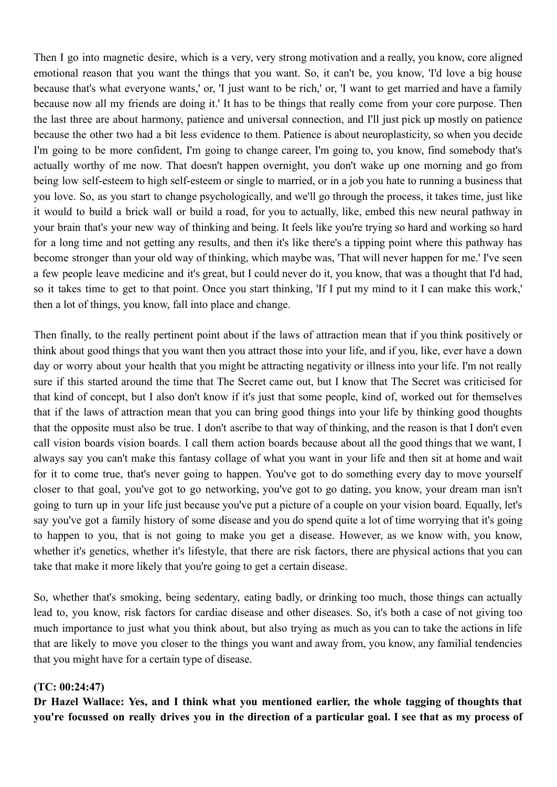Then I go into magnetic desire, which is a very, very strong motivation and a really, you know, core aligned emotional reason that you want the things that you want. So, it can't be, you know, 'I'd love a big house because that's what everyone wants,' or, 'I just want to be rich,' or, 'I want to get married and have a family because now all my friends are doing it.' It has to be things that really come from your core purpose. Then the last three are about harmony, patience and universal connection, and I'll just pick up mostly on patience because the other two had a bit less evidence to them. Patience is about neuroplasticity, so when you decide I'm going to be more confident, I'm going to change career, I'm going to, you know, find somebody that's actually worthy of me now. That doesn't happen overnight, you don't wake up one morning and go from being low self-esteem to high self-esteem or single to married, or in a job you hate to running a business that you love. So, as you start to change psychologically, and we'll go through the process, it takes time, just like it would to build a brick wall or build a road, for you to actually, like, embed this new neural pathway in your brain that's your new way of thinking and being. It feels like you're trying so hard and working so hard for a long time and not getting any results, and then it's like there's a tipping point where this pathway has become stronger than your old way of thinking, which maybe was, 'That will never happen for me.' I've seen a few people leave medicine and it's great, but I could never do it, you know, that was a thought that I'd had, so it takes time to get to that point. Once you start thinking, 'If I put my mind to it I can make this work,' then a lot of things, you know, fall into place and change.

Then finally, to the really pertinent point about if the laws of attraction mean that if you think positively or think about good things that you want then you attract those into your life, and if you, like, ever have a down day or worry about your health that you might be attracting negativity or illness into your life. I'm not really sure if this started around the time that The Secret came out, but I know that The Secret was criticised for that kind of concept, but I also don't know if it's just that some people, kind of, worked out for themselves that if the laws of attraction mean that you can bring good things into your life by thinking good thoughts that the opposite must also be true. I don't ascribe to that way of thinking, and the reason is that I don't even call vision boards vision boards. I call them action boards because about all the good things that we want, I always say you can't make this fantasy collage of what you want in your life and then sit at home and wait for it to come true, that's never going to happen. You've got to do something every day to move yourself closer to that goal, you've got to go networking, you've got to go dating, you know, your dream man isn't going to turn up in your life just because you've put a picture of a couple on your vision board. Equally, let's say you've got a family history of some disease and you do spend quite a lot of time worrying that it's going to happen to you, that is not going to make you get a disease. However, as we know with, you know, whether it's genetics, whether it's lifestyle, that there are risk factors, there are physical actions that you can take that make it more likely that you're going to get a certain disease.

So, whether that's smoking, being sedentary, eating badly, or drinking too much, those things can actually lead to, you know, risk factors for cardiac disease and other diseases. So, it's both a case of not giving too much importance to just what you think about, but also trying as much as you can to take the actions in life that are likely to move you closer to the things you want and away from, you know, any familial tendencies that you might have for a certain type of disease.

#### **(TC: 00:24:47)**

**Dr Hazel Wallace: Yes, and I think what you mentioned earlier, the whole tagging of thoughts that** you're focussed on really drives you in the direction of a particular goal. I see that as my process of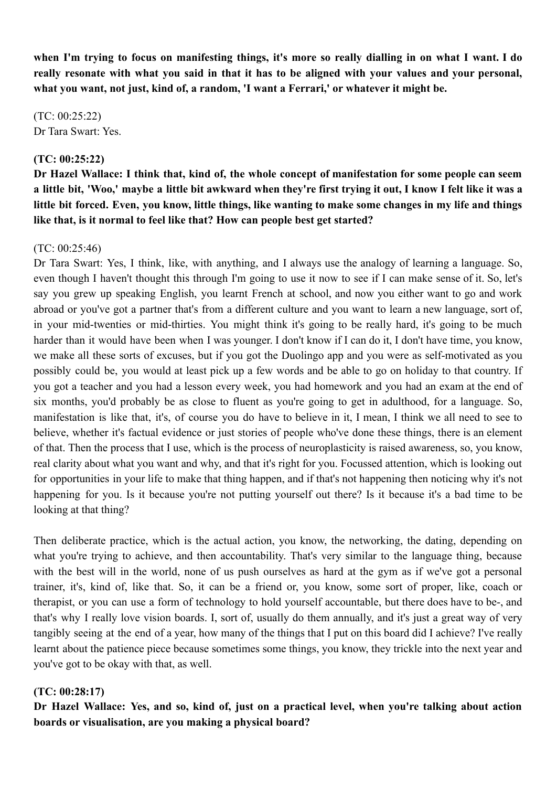when I'm trying to focus on manifesting things, it's more so really dialling in on what I want. I do really resonate with what you said in that it has to be aligned with your values and your personal, **what you want, not just, kind of, a random, 'I want a Ferrari,' or whatever it might be.**

(TC: 00:25:22) Dr Tara Swart: Yes.

# **(TC: 00:25:22)**

Dr Hazel Wallace: I think that, kind of, the whole concept of manifestation for some people can seem a little bit, 'Woo,' maybe a little bit awkward when they're first trying it out, I know I felt like it was a little bit forced. Even, you know, little things, like wanting to make some changes in my life and things **like that, is it normal to feel like that? How can people best get started?**

## (TC: 00:25:46)

Dr Tara Swart: Yes, I think, like, with anything, and I always use the analogy of learning a language. So, even though I haven't thought this through I'm going to use it now to see if I can make sense of it. So, let's say you grew up speaking English, you learnt French at school, and now you either want to go and work abroad or you've got a partner that's from a different culture and you want to learn a new language, sort of, in your mid-twenties or mid-thirties. You might think it's going to be really hard, it's going to be much harder than it would have been when I was younger. I don't know if I can do it, I don't have time, you know, we make all these sorts of excuses, but if you got the Duolingo app and you were as self-motivated as you possibly could be, you would at least pick up a few words and be able to go on holiday to that country. If you got a teacher and you had a lesson every week, you had homework and you had an exam at the end of six months, you'd probably be as close to fluent as you're going to get in adulthood, for a language. So, manifestation is like that, it's, of course you do have to believe in it, I mean, I think we all need to see to believe, whether it's factual evidence or just stories of people who've done these things, there is an element of that. Then the process that I use, which is the process of neuroplasticity is raised awareness, so, you know, real clarity about what you want and why, and that it's right for you. Focussed attention, which is looking out for opportunities in your life to make that thing happen, and if that's not happening then noticing why it's not happening for you. Is it because you're not putting yourself out there? Is it because it's a bad time to be looking at that thing?

Then deliberate practice, which is the actual action, you know, the networking, the dating, depending on what you're trying to achieve, and then accountability. That's very similar to the language thing, because with the best will in the world, none of us push ourselves as hard at the gym as if we've got a personal trainer, it's, kind of, like that. So, it can be a friend or, you know, some sort of proper, like, coach or therapist, or you can use a form of technology to hold yourself accountable, but there does have to be-, and that's why I really love vision boards. I, sort of, usually do them annually, and it's just a great way of very tangibly seeing at the end of a year, how many of the things that I put on this board did I achieve? I've really learnt about the patience piece because sometimes some things, you know, they trickle into the next year and you've got to be okay with that, as well.

# **(TC: 00:28:17)**

Dr Hazel Wallace: Yes, and so, kind of, just on a practical level, when you're talking about action **boards or visualisation, are you making a physical board?**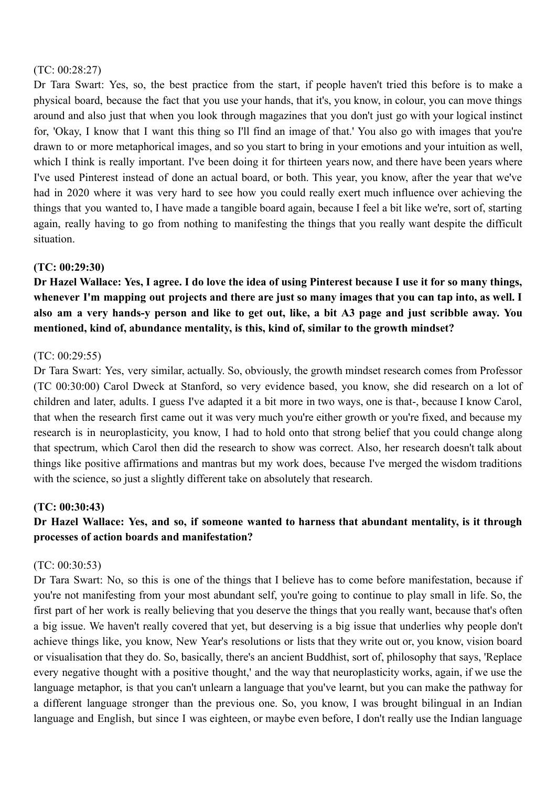## (TC: 00:28:27)

Dr Tara Swart: Yes, so, the best practice from the start, if people haven't tried this before is to make a physical board, because the fact that you use your hands, that it's, you know, in colour, you can move things around and also just that when you look through magazines that you don't just go with your logical instinct for, 'Okay, I know that I want this thing so I'll find an image of that.' You also go with images that you're drawn to or more metaphorical images, and so you start to bring in your emotions and your intuition as well, which I think is really important. I've been doing it for thirteen years now, and there have been years where I've used Pinterest instead of done an actual board, or both. This year, you know, after the year that we've had in 2020 where it was very hard to see how you could really exert much influence over achieving the things that you wanted to, I have made a tangible board again, because I feel a bit like we're, sort of, starting again, really having to go from nothing to manifesting the things that you really want despite the difficult situation.

# **(TC: 00:29:30)**

Dr Hazel Wallace: Yes, I agree. I do love the idea of using Pinterest because I use it for so many things, whenever I'm mapping out projects and there are just so many images that you can tap into, as well. I also am a very hands-y person and like to get out, like, a bit A3 page and just scribble away. You **mentioned, kind of, abundance mentality, is this, kind of, similar to the growth mindset?**

## (TC: 00:29:55)

Dr Tara Swart: Yes, very similar, actually. So, obviously, the growth mindset research comes from Professor (TC 00:30:00) Carol Dweck at Stanford, so very evidence based, you know, she did research on a lot of children and later, adults. I guess I've adapted it a bit more in two ways, one is that-, because I know Carol, that when the research first came out it was very much you're either growth or you're fixed, and because my research is in neuroplasticity, you know, I had to hold onto that strong belief that you could change along that spectrum, which Carol then did the research to show was correct. Also, her research doesn't talk about things like positive affirmations and mantras but my work does, because I've merged the wisdom traditions with the science, so just a slightly different take on absolutely that research.

## **(TC: 00:30:43)**

# **Dr Hazel Wallace: Yes, and so, if someone wanted to harness that abundant mentality, is it through processes of action boards and manifestation?**

#### (TC: 00:30:53)

Dr Tara Swart: No, so this is one of the things that I believe has to come before manifestation, because if you're not manifesting from your most abundant self, you're going to continue to play small in life. So, the first part of her work is really believing that you deserve the things that you really want, because that's often a big issue. We haven't really covered that yet, but deserving is a big issue that underlies why people don't achieve things like, you know, New Year's resolutions or lists that they write out or, you know, vision board or visualisation that they do. So, basically, there's an ancient Buddhist, sort of, philosophy that says, 'Replace every negative thought with a positive thought,' and the way that neuroplasticity works, again, if we use the language metaphor, is that you can't unlearn a language that you've learnt, but you can make the pathway for a different language stronger than the previous one. So, you know, I was brought bilingual in an Indian language and English, but since I was eighteen, or maybe even before, I don't really use the Indian language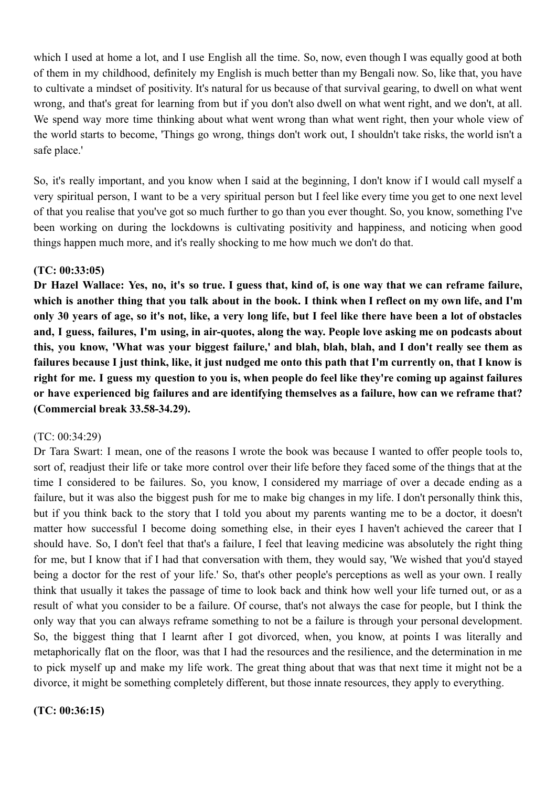which I used at home a lot, and I use English all the time. So, now, even though I was equally good at both of them in my childhood, definitely my English is much better than my Bengali now. So, like that, you have to cultivate a mindset of positivity. It's natural for us because of that survival gearing, to dwell on what went wrong, and that's great for learning from but if you don't also dwell on what went right, and we don't, at all. We spend way more time thinking about what went wrong than what went right, then your whole view of the world starts to become, 'Things go wrong, things don't work out, I shouldn't take risks, the world isn't a safe place.'

So, it's really important, and you know when I said at the beginning, I don't know if I would call myself a very spiritual person, I want to be a very spiritual person but I feel like every time you get to one next level of that you realise that you've got so much further to go than you ever thought. So, you know, something I've been working on during the lockdowns is cultivating positivity and happiness, and noticing when good things happen much more, and it's really shocking to me how much we don't do that.

## **(TC: 00:33:05)**

Dr Hazel Wallace: Yes, no, it's so true. I guess that, kind of, is one way that we can reframe failure, which is another thing that you talk about in the book. I think when I reflect on my own life, and I'm only 30 years of age, so it's not, like, a very long life, but I feel like there have been a lot of obstacles and, I guess, failures, I'm using, in air-quotes, along the way. People love asking me on podcasts about this, you know, 'What was your biggest failure,' and blah, blah, blah, and I don't really see them as failures because I just think, like, it just nudged me onto this path that I'm currently on, that I know is right for me. I guess my question to you is, when people do feel like they're coming up against failures **or have experienced big failures and are identifying themselves as a failure, how can we reframe that? (Commercial break 33.58-34.29).**

#### (TC: 00:34:29)

Dr Tara Swart: I mean, one of the reasons I wrote the book was because I wanted to offer people tools to, sort of, readjust their life or take more control over their life before they faced some of the things that at the time I considered to be failures. So, you know, I considered my marriage of over a decade ending as a failure, but it was also the biggest push for me to make big changes in my life. I don't personally think this, but if you think back to the story that I told you about my parents wanting me to be a doctor, it doesn't matter how successful I become doing something else, in their eyes I haven't achieved the career that I should have. So, I don't feel that that's a failure, I feel that leaving medicine was absolutely the right thing for me, but I know that if I had that conversation with them, they would say, 'We wished that you'd stayed being a doctor for the rest of your life.' So, that's other people's perceptions as well as your own. I really think that usually it takes the passage of time to look back and think how well your life turned out, or as a result of what you consider to be a failure. Of course, that's not always the case for people, but I think the only way that you can always reframe something to not be a failure is through your personal development. So, the biggest thing that I learnt after I got divorced, when, you know, at points I was literally and metaphorically flat on the floor, was that I had the resources and the resilience, and the determination in me to pick myself up and make my life work. The great thing about that was that next time it might not be a divorce, it might be something completely different, but those innate resources, they apply to everything.

**(TC: 00:36:15)**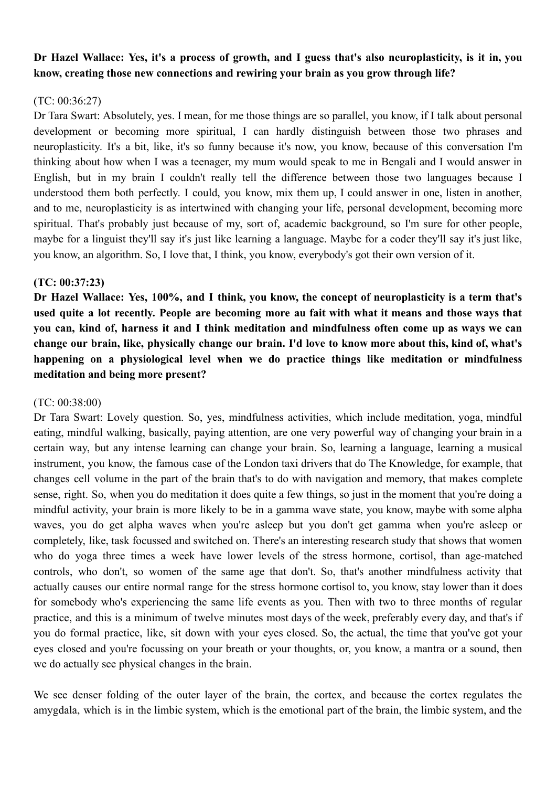# Dr Hazel Wallace: Yes, it's a process of growth, and I guess that's also neuroplasticity, is it in, you **know, creating those new connections and rewiring your brain as you grow through life?**

# $(TC: 00.36.27)$

Dr Tara Swart: Absolutely, yes. I mean, for me those things are so parallel, you know, if I talk about personal development or becoming more spiritual, I can hardly distinguish between those two phrases and neuroplasticity. It's a bit, like, it's so funny because it's now, you know, because of this conversation I'm thinking about how when I was a teenager, my mum would speak to me in Bengali and I would answer in English, but in my brain I couldn't really tell the difference between those two languages because I understood them both perfectly. I could, you know, mix them up, I could answer in one, listen in another, and to me, neuroplasticity is as intertwined with changing your life, personal development, becoming more spiritual. That's probably just because of my, sort of, academic background, so I'm sure for other people, maybe for a linguist they'll say it's just like learning a language. Maybe for a coder they'll say it's just like, you know, an algorithm. So, I love that, I think, you know, everybody's got their own version of it.

# **(TC: 00:37:23)**

Dr Hazel Wallace: Yes, 100%, and I think, you know, the concept of neuroplasticity is a term that's used quite a lot recently. People are becoming more au fait with what it means and those ways that you can, kind of, harness it and I think meditation and mindfulness often come up as ways we can change our brain, like, physically change our brain. I'd love to know more about this, kind of, what's **happening on a physiological level when we do practice things like meditation or mindfulness meditation and being more present?**

# (TC: 00:38:00)

Dr Tara Swart: Lovely question. So, yes, mindfulness activities, which include meditation, yoga, mindful eating, mindful walking, basically, paying attention, are one very powerful way of changing your brain in a certain way, but any intense learning can change your brain. So, learning a language, learning a musical instrument, you know, the famous case of the London taxi drivers that do The Knowledge, for example, that changes cell volume in the part of the brain that's to do with navigation and memory, that makes complete sense, right. So, when you do meditation it does quite a few things, so just in the moment that you're doing a mindful activity, your brain is more likely to be in a gamma wave state, you know, maybe with some alpha waves, you do get alpha waves when you're asleep but you don't get gamma when you're asleep or completely, like, task focussed and switched on. There's an interesting research study that shows that women who do yoga three times a week have lower levels of the stress hormone, cortisol, than age-matched controls, who don't, so women of the same age that don't. So, that's another mindfulness activity that actually causes our entire normal range for the stress hormone cortisol to, you know, stay lower than it does for somebody who's experiencing the same life events as you. Then with two to three months of regular practice, and this is a minimum of twelve minutes most days of the week, preferably every day, and that's if you do formal practice, like, sit down with your eyes closed. So, the actual, the time that you've got your eyes closed and you're focussing on your breath or your thoughts, or, you know, a mantra or a sound, then we do actually see physical changes in the brain.

We see denser folding of the outer layer of the brain, the cortex, and because the cortex regulates the amygdala, which is in the limbic system, which is the emotional part of the brain, the limbic system, and the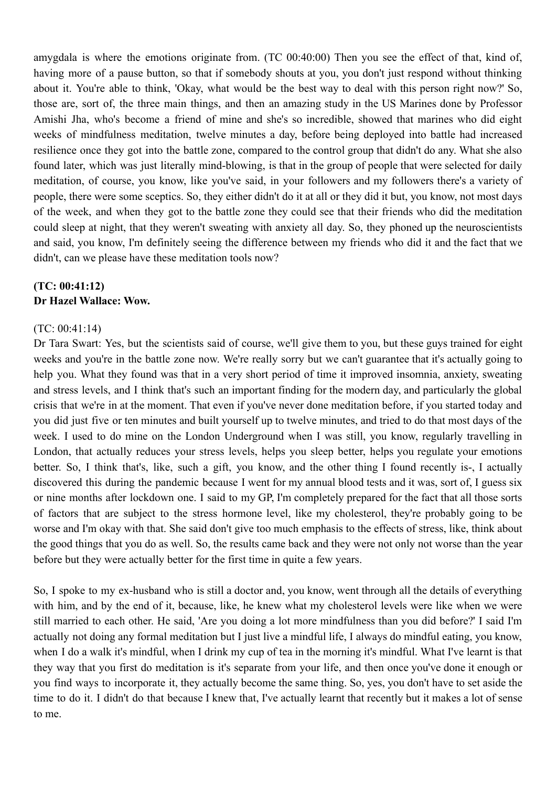amygdala is where the emotions originate from. (TC 00:40:00) Then you see the effect of that, kind of, having more of a pause button, so that if somebody shouts at you, you don't just respond without thinking about it. You're able to think, 'Okay, what would be the best way to deal with this person right now?' So, those are, sort of, the three main things, and then an amazing study in the US Marines done by Professor Amishi Jha, who's become a friend of mine and she's so incredible, showed that marines who did eight weeks of mindfulness meditation, twelve minutes a day, before being deployed into battle had increased resilience once they got into the battle zone, compared to the control group that didn't do any. What she also found later, which was just literally mind-blowing, is that in the group of people that were selected for daily meditation, of course, you know, like you've said, in your followers and my followers there's a variety of people, there were some sceptics. So, they either didn't do it at all or they did it but, you know, not most days of the week, and when they got to the battle zone they could see that their friends who did the meditation could sleep at night, that they weren't sweating with anxiety all day. So, they phoned up the neuroscientists and said, you know, I'm definitely seeing the difference between my friends who did it and the fact that we didn't, can we please have these meditation tools now?

# **(TC: 00:41:12) Dr Hazel Wallace: Wow.**

# (TC: 00:41:14)

Dr Tara Swart: Yes, but the scientists said of course, we'll give them to you, but these guys trained for eight weeks and you're in the battle zone now. We're really sorry but we can't guarantee that it's actually going to help you. What they found was that in a very short period of time it improved insomnia, anxiety, sweating and stress levels, and I think that's such an important finding for the modern day, and particularly the global crisis that we're in at the moment. That even if you've never done meditation before, if you started today and you did just five or ten minutes and built yourself up to twelve minutes, and tried to do that most days of the week. I used to do mine on the London Underground when I was still, you know, regularly travelling in London, that actually reduces your stress levels, helps you sleep better, helps you regulate your emotions better. So, I think that's, like, such a gift, you know, and the other thing I found recently is-, I actually discovered this during the pandemic because I went for my annual blood tests and it was, sort of, I guess six or nine months after lockdown one. I said to my GP, I'm completely prepared for the fact that all those sorts of factors that are subject to the stress hormone level, like my cholesterol, they're probably going to be worse and I'm okay with that. She said don't give too much emphasis to the effects of stress, like, think about the good things that you do as well. So, the results came back and they were not only not worse than the year before but they were actually better for the first time in quite a few years.

So, I spoke to my ex-husband who is still a doctor and, you know, went through all the details of everything with him, and by the end of it, because, like, he knew what my cholesterol levels were like when we were still married to each other. He said, 'Are you doing a lot more mindfulness than you did before?' I said I'm actually not doing any formal meditation but I just live a mindful life, I always do mindful eating, you know, when I do a walk it's mindful, when I drink my cup of tea in the morning it's mindful. What I've learnt is that they way that you first do meditation is it's separate from your life, and then once you've done it enough or you find ways to incorporate it, they actually become the same thing. So, yes, you don't have to set aside the time to do it. I didn't do that because I knew that, I've actually learnt that recently but it makes a lot of sense to me.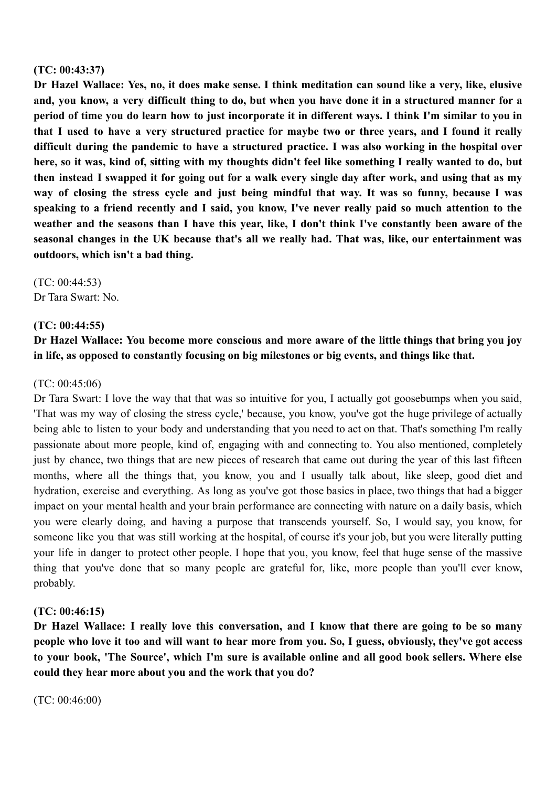## **(TC: 00:43:37)**

Dr Hazel Wallace: Yes, no, it does make sense. I think meditation can sound like a very, like, elusive and, you know, a very difficult thing to do, but when you have done it in a structured manner for a period of time you do learn how to just incorporate it in different ways. I think I'm similar to you in that I used to have a very structured practice for maybe two or three vears, and I found it really **difficult during the pandemic to have a structured practice. I was also working in the hospital over** here, so it was, kind of, sitting with my thoughts didn't feel like something I really wanted to do, but then instead I swapped it for going out for a walk every single day after work, and using that as my way of closing the stress cycle and just being mindful that way. It was so funny, because I was speaking to a friend recently and I said, you know, I've never really paid so much attention to the weather and the seasons than I have this vear, like, I don't think I've constantly been aware of the **seasonal changes in the UK because that's all we really had. That was, like, our entertainment was outdoors, which isn't a bad thing.**

 $(TC: 00.44.53)$ Dr Tara Swart: No.

## **(TC: 00:44:55)**

# **Dr Hazel Wallace: You become more conscious and more aware of the little things that bring you joy in life, as opposed to constantly focusing on big milestones or big events, and things like that.**

#### (TC: 00:45:06)

Dr Tara Swart: I love the way that that was so intuitive for you, I actually got goosebumps when you said, 'That was my way of closing the stress cycle,' because, you know, you've got the huge privilege of actually being able to listen to your body and understanding that you need to act on that. That's something I'm really passionate about more people, kind of, engaging with and connecting to. You also mentioned, completely just by chance, two things that are new pieces of research that came out during the year of this last fifteen months, where all the things that, you know, you and I usually talk about, like sleep, good diet and hydration, exercise and everything. As long as you've got those basics in place, two things that had a bigger impact on your mental health and your brain performance are connecting with nature on a daily basis, which you were clearly doing, and having a purpose that transcends yourself. So, I would say, you know, for someone like you that was still working at the hospital, of course it's your job, but you were literally putting your life in danger to protect other people. I hope that you, you know, feel that huge sense of the massive thing that you've done that so many people are grateful for, like, more people than you'll ever know, probably.

#### **(TC: 00:46:15)**

Dr Hazel Wallace: I really love this conversation, and I know that there are going to be so many people who love it too and will want to hear more from you. So, I guess, obviously, they've got access to your book, 'The Source', which I'm sure is available online and all good book sellers. Where else **could they hear more about you and the work that you do?**

(TC: 00:46:00)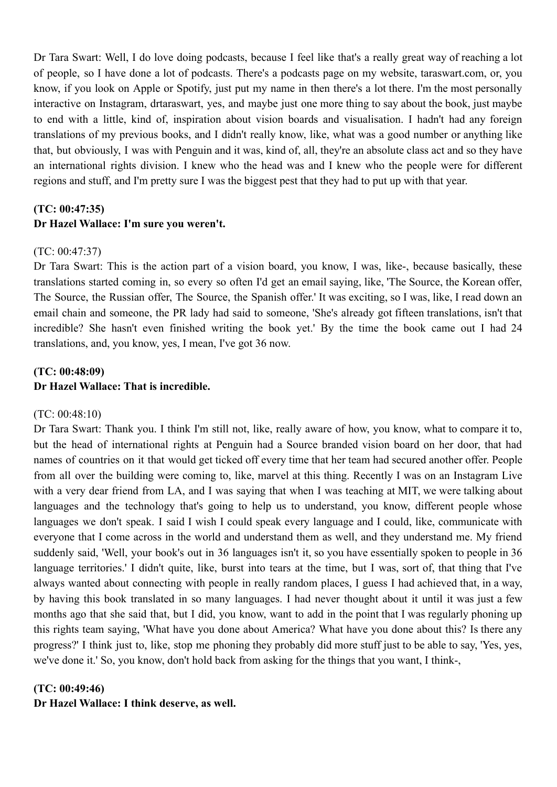Dr Tara Swart: Well, I do love doing podcasts, because I feel like that's a really great way of reaching a lot of people, so I have done a lot of podcasts. There's a podcasts page on my website, taraswart.com, or, you know, if you look on Apple or Spotify, just put my name in then there's a lot there. I'm the most personally interactive on Instagram, drtaraswart, yes, and maybe just one more thing to say about the book, just maybe to end with a little, kind of, inspiration about vision boards and visualisation. I hadn't had any foreign translations of my previous books, and I didn't really know, like, what was a good number or anything like that, but obviously, I was with Penguin and it was, kind of, all, they're an absolute class act and so they have an international rights division. I knew who the head was and I knew who the people were for different regions and stuff, and I'm pretty sure I was the biggest pest that they had to put up with that year.

# **(TC: 00:47:35) Dr Hazel Wallace: I'm sure you weren't.**

## $(TC: 00.47.37)$

Dr Tara Swart: This is the action part of a vision board, you know, I was, like-, because basically, these translations started coming in, so every so often I'd get an email saying, like, 'The Source, the Korean offer, The Source, the Russian offer, The Source, the Spanish offer.' It was exciting, so I was, like, I read down an email chain and someone, the PR lady had said to someone, 'She's already got fifteen translations, isn't that incredible? She hasn't even finished writing the book yet.' By the time the book came out I had 24 translations, and, you know, yes, I mean, I've got 36 now.

# **(TC: 00:48:09) Dr Hazel Wallace: That is incredible.**

#### (TC: 00:48:10)

Dr Tara Swart: Thank you. I think I'm still not, like, really aware of how, you know, what to compare it to, but the head of international rights at Penguin had a Source branded vision board on her door, that had names of countries on it that would get ticked off every time that her team had secured another offer. People from all over the building were coming to, like, marvel at this thing. Recently I was on an Instagram Live with a very dear friend from LA, and I was saying that when I was teaching at MIT, we were talking about languages and the technology that's going to help us to understand, you know, different people whose languages we don't speak. I said I wish I could speak every language and I could, like, communicate with everyone that I come across in the world and understand them as well, and they understand me. My friend suddenly said, 'Well, your book's out in 36 languages isn't it, so you have essentially spoken to people in 36 language territories.' I didn't quite, like, burst into tears at the time, but I was, sort of, that thing that I've always wanted about connecting with people in really random places, I guess I had achieved that, in a way, by having this book translated in so many languages. I had never thought about it until it was just a few months ago that she said that, but I did, you know, want to add in the point that I was regularly phoning up this rights team saying, 'What have you done about America? What have you done about this? Is there any progress?' I think just to, like, stop me phoning they probably did more stuff just to be able to say, 'Yes, yes, we've done it.' So, you know, don't hold back from asking for the things that you want, I think-,

#### **(TC: 00:49:46)**

**Dr Hazel Wallace: I think deserve, as well.**